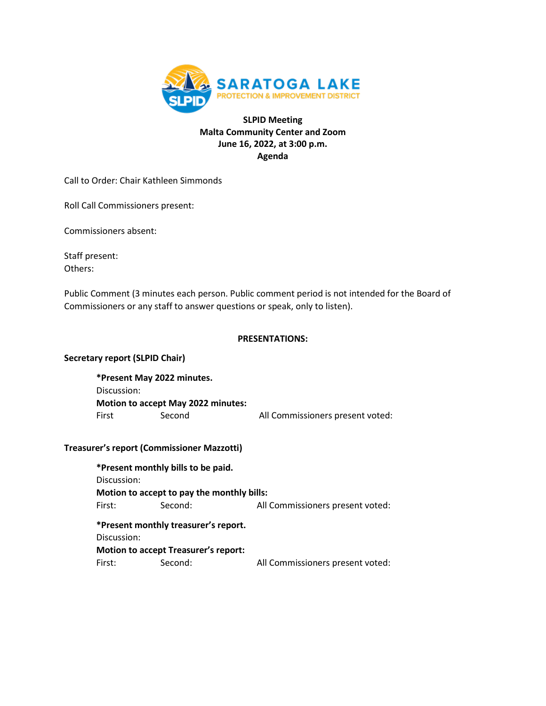

# **SLPID Meeting Malta Community Center and Zoom June 16, 2022, at 3:00 p.m. Agenda**

Call to Order: Chair Kathleen Simmonds

Roll Call Commissioners present:

Commissioners absent:

Staff present: Others:

Public Comment (3 minutes each person. Public comment period is not intended for the Board of Commissioners or any staff to answer questions or speak, only to listen).

# **PRESENTATIONS:**

### **Secretary report (SLPID Chair)**

**\*Present May 2022 minutes.** Discussion: **Motion to accept May 2022 minutes:** First Second All Commissioners present voted:

### **Treasurer's report (Commissioner Mazzotti)**

| *Present monthly bills to be paid.                                                                 |         |                                  |
|----------------------------------------------------------------------------------------------------|---------|----------------------------------|
| Discussion:                                                                                        |         |                                  |
| Motion to accept to pay the monthly bills:                                                         |         |                                  |
| First:                                                                                             | Second: | All Commissioners present voted: |
| *Present monthly treasurer's report.<br>Discussion:<br><b>Motion to accept Treasurer's report:</b> |         |                                  |
| First:                                                                                             | Second: | All Commissioners present voted: |